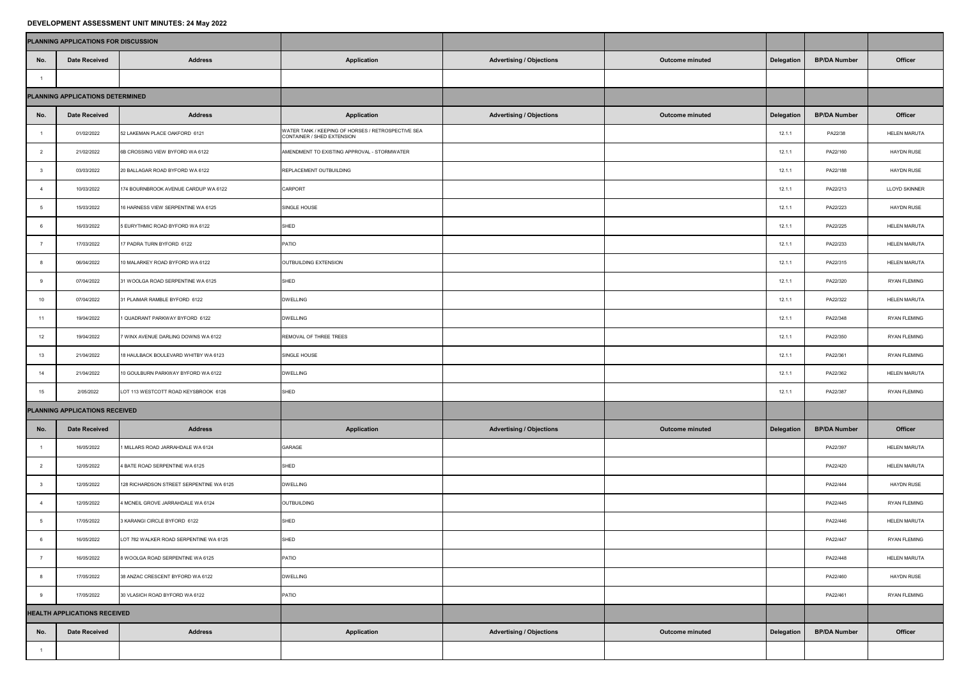## **DEVELOPMENT ASSESSMENT UNIT MINUTES: 24 May 2022**

|                                     | PLANNING APPLICATIONS FOR DISCUSSION |                                          |                                                                                  |                                 |                        |                   |                     |                      |
|-------------------------------------|--------------------------------------|------------------------------------------|----------------------------------------------------------------------------------|---------------------------------|------------------------|-------------------|---------------------|----------------------|
| No.                                 | <b>Date Received</b>                 | <b>Address</b>                           | <b>Application</b>                                                               | <b>Advertising / Objections</b> | <b>Outcome minuted</b> | <b>Delegation</b> | <b>BP/DA Number</b> | <b>Officer</b>       |
|                                     |                                      |                                          |                                                                                  |                                 |                        |                   |                     |                      |
| PLANNING APPLICATIONS DETERMINED    |                                      |                                          |                                                                                  |                                 |                        |                   |                     |                      |
| No.                                 | <b>Date Received</b>                 | <b>Address</b>                           | <b>Application</b>                                                               | <b>Advertising / Objections</b> | <b>Outcome minuted</b> | <b>Delegation</b> | <b>BP/DA Number</b> | <b>Officer</b>       |
|                                     | 01/02/2022                           | 52 LAKEMAN PLACE OAKFORD 6121            | WATER TANK / KEEPING OF HORSES / RETROSPECTIVE SEA<br>CONTAINER / SHED EXTENSION |                                 |                        | 12.1.1            | PA22/38             | <b>HELEN MARUTA</b>  |
|                                     | 21/02/2022                           | 6B CROSSING VIEW BYFORD WA 6122          | AMENDMENT TO EXISTING APPROVAL - STORMWATER                                      |                                 |                        | 12.1.1            | PA22/160            | <b>HAYDN RUSE</b>    |
|                                     | 03/03/2022                           | 20 BALLAGAR ROAD BYFORD WA 6122          | REPLACEMENT OUTBUILDING                                                          |                                 |                        | 12.1.1            | PA22/188            | <b>HAYDN RUSE</b>    |
|                                     | 10/03/2022                           | 174 BOURNBROOK AVENUE CARDUP WA 6122     | <b>CARPORT</b>                                                                   |                                 |                        | 12.1.1            | PA22/213            | <b>LLOYD SKINNER</b> |
|                                     | 15/03/2022                           | 16 HARNESS VIEW SERPENTINE WA 6125       | SINGLE HOUSE                                                                     |                                 |                        | 12.1.1            | PA22/223            | <b>HAYDN RUSE</b>    |
|                                     | 16/03/2022                           | 5 EURYTHMIC ROAD BYFORD WA 6122          | <b>SHED</b>                                                                      |                                 |                        | 12.1.1            | PA22/225            | <b>HELEN MARUTA</b>  |
|                                     | 17/03/2022                           | 17 PADRA TURN BYFORD 6122                | <b>PATIO</b>                                                                     |                                 |                        | 12.1.1            | PA22/233            | <b>HELEN MARUTA</b>  |
|                                     | 06/04/2022                           | 10 MALARKEY ROAD BYFORD WA 6122          | OUTBUILDING EXTENSION                                                            |                                 |                        | 12.1.1            | PA22/315            | <b>HELEN MARUTA</b>  |
|                                     | 07/04/2022                           | 31 WOOLGA ROAD SERPENTINE WA 6125        | <b>SHED</b>                                                                      |                                 |                        | 12.1.1            | PA22/320            | <b>RYAN FLEMING</b>  |
| 10                                  | 07/04/2022                           | 31 PLAIMAR RAMBLE BYFORD 6122            | <b>DWELLING</b>                                                                  |                                 |                        | 12.1.1            | PA22/322            | <b>HELEN MARUTA</b>  |
| 11                                  | 19/04/2022                           | 1 QUADRANT PARKWAY BYFORD 6122           | <b>DWELLING</b>                                                                  |                                 |                        | 12.1.1            | PA22/348            | <b>RYAN FLEMING</b>  |
| 12                                  | 19/04/2022                           | 7 WINX AVENUE DARLING DOWNS WA 6122      | REMOVAL OF THREE TREES                                                           |                                 |                        | 12.1.1            | PA22/350            | <b>RYAN FLEMING</b>  |
| 13                                  | 21/04/2022                           | 18 HAULBACK BOULEVARD WHITBY WA 6123     | SINGLE HOUSE                                                                     |                                 |                        | 12.1.1            | PA22/361            | <b>RYAN FLEMING</b>  |
| 14                                  | 21/04/2022                           | 10 GOULBURN PARKWAY BYFORD WA 6122       | <b>DWELLING</b>                                                                  |                                 |                        | 12.1.1            | PA22/362            | <b>HELEN MARUTA</b>  |
| 15                                  | 2/05/2022                            | LOT 113 WESTCOTT ROAD KEYSBROOK 6126     | <b>SHED</b>                                                                      |                                 |                        | 12.1.1            | PA22/387            | <b>RYAN FLEMING</b>  |
| PLANNING APPLICATIONS RECEIVED      |                                      |                                          |                                                                                  |                                 |                        |                   |                     |                      |
| No.                                 | <b>Date Received</b>                 | <b>Address</b>                           | <b>Application</b>                                                               | <b>Advertising / Objections</b> | <b>Outcome minuted</b> | <b>Delegation</b> | <b>BP/DA Number</b> | <b>Officer</b>       |
|                                     | 16/05/2022                           | 1 MILLARS ROAD JARRAHDALE WA 6124        | <b>GARAGE</b>                                                                    |                                 |                        |                   | PA22/397            | <b>HELEN MARUTA</b>  |
|                                     | 12/05/2022                           | 4 BATE ROAD SERPENTINE WA 6125           | <b>SHED</b>                                                                      |                                 |                        |                   | PA22/420            | <b>HELEN MARUTA</b>  |
|                                     | 12/05/2022                           | 128 RICHARDSON STREET SERPENTINE WA 6125 | <b>DWELLING</b>                                                                  |                                 |                        |                   | PA22/444            | <b>HAYDN RUSE</b>    |
|                                     | 12/05/2022                           | 4 MCNEIL GROVE JARRAHDALE WA 6124        | OUTBUILDING                                                                      |                                 |                        |                   | PA22/445            | <b>RYAN FLEMING</b>  |
|                                     | 17/05/2022                           | 3 KARANGI CIRCLE BYFORD 6122             | <b>SHED</b>                                                                      |                                 |                        |                   | PA22/446            | <b>HELEN MARUTA</b>  |
|                                     | 16/05/2022                           | LOT 782 WALKER ROAD SERPENTINE WA 6125   | <b>SHED</b>                                                                      |                                 |                        |                   | PA22/447            | <b>RYAN FLEMING</b>  |
|                                     | 16/05/2022                           | 8 WOOLGA ROAD SERPENTINE WA 6125         | PATIO                                                                            |                                 |                        |                   | PA22/448            | <b>HELEN MARUTA</b>  |
|                                     | 17/05/2022                           | 38 ANZAC CRESCENT BYFORD WA 6122         | <b>DWELLING</b>                                                                  |                                 |                        |                   | PA22/460            | <b>HAYDN RUSE</b>    |
|                                     | 17/05/2022                           | 30 VLASICH ROAD BYFORD WA 6122           | PATIO                                                                            |                                 |                        |                   | PA22/461            | <b>RYAN FLEMING</b>  |
| <b>HEALTH APPLICATIONS RECEIVED</b> |                                      |                                          |                                                                                  |                                 |                        |                   |                     |                      |
| No.                                 | <b>Date Received</b>                 | <b>Address</b>                           | <b>Application</b>                                                               | <b>Advertising / Objections</b> | <b>Outcome minuted</b> | Delegation        | <b>BP/DA Number</b> | <b>Officer</b>       |
|                                     |                                      |                                          |                                                                                  |                                 |                        |                   |                     |                      |